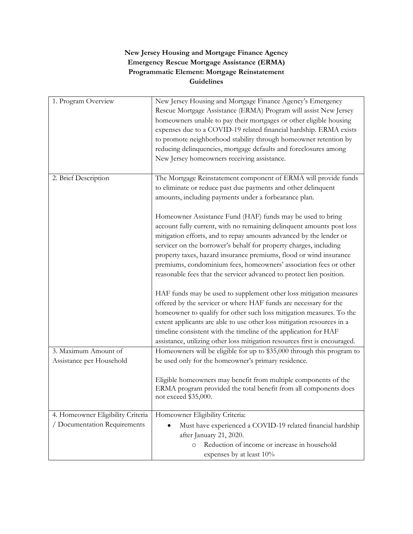## **New Jersey Housing and Mortgage Finance Agency Emergency Rescue Mortgage Assistance (ERMA) Programmatic Element: Mortgage Reinstatement Guidelines**

| 1. Program Overview               | New Jersey Housing and Mortgage Finance Agency's Emergency                 |
|-----------------------------------|----------------------------------------------------------------------------|
|                                   | Rescue Mortgage Assistance (ERMA) Program will assist New Jersey           |
|                                   | homeowners unable to pay their mortgages or other eligible housing         |
|                                   | expenses due to a COVID-19 related financial hardship. ERMA exists         |
|                                   |                                                                            |
|                                   | to promote neighborhood stability through homeowner retention by           |
|                                   | reducing delinquencies, mortgage defaults and foreclosures among           |
|                                   | New Jersey homeowners receiving assistance.                                |
| 2. Brief Description              | The Mortgage Reinstatement component of ERMA will provide funds            |
|                                   | to eliminate or reduce past due payments and other delinquent              |
|                                   | amounts, including payments under a forbearance plan.                      |
|                                   |                                                                            |
|                                   | Homeowner Assistance Fund (HAF) funds may be used to bring                 |
|                                   | account fully current, with no remaining delinquent amounts post loss      |
|                                   | mitigation efforts, and to repay amounts advanced by the lender or         |
|                                   |                                                                            |
|                                   | servicer on the borrower's behalf for property charges, including          |
|                                   | property taxes, hazard insurance premiums, flood or wind insurance         |
|                                   | premiums, condominium fees, homeowners' association fees or other          |
|                                   | reasonable fees that the servicer advanced to protect lien position.       |
|                                   | HAF funds may be used to supplement other loss mitigation measures         |
|                                   | offered by the servicer or where HAF funds are necessary for the           |
|                                   | homeowner to qualify for other such loss mitigation measures. To the       |
|                                   | extent applicants are able to use other loss mitigation resources in a     |
|                                   | timeline consistent with the timeline of the application for HAF           |
|                                   | assistance, utilizing other loss mitigation resources first is encouraged. |
| 3. Maximum Amount of              | Homeowners will be eligible for up to \$35,000 through this program to     |
| Assistance per Household          | be used only for the homeowner's primary residence.                        |
|                                   |                                                                            |
|                                   | Eligible homeowners may benefit from multiple components of the            |
|                                   | ERMA program provided the total benefit from all components does           |
|                                   | not exceed \$35,000.                                                       |
|                                   |                                                                            |
| 4. Homeowner Eligibility Criteria | Homeowner Eligibility Criteria:                                            |
| / Documentation Requirements      | Must have experienced a COVID-19 related financial hardship                |
|                                   | after January 21, 2020.                                                    |
|                                   | Reduction of income or increase in household<br>$\circ$                    |
|                                   | expenses by at least 10%                                                   |
|                                   |                                                                            |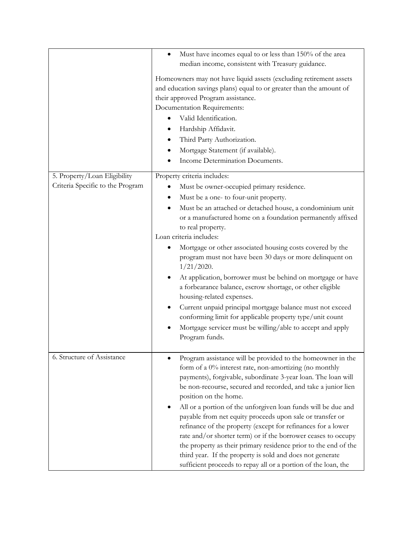|                                  | Must have incomes equal to or less than 150% of the area<br>$\bullet$                                                         |
|----------------------------------|-------------------------------------------------------------------------------------------------------------------------------|
|                                  | median income, consistent with Treasury guidance.                                                                             |
|                                  | Homeowners may not have liquid assets (excluding retirement assets                                                            |
|                                  | and education savings plans) equal to or greater than the amount of                                                           |
|                                  | their approved Program assistance.                                                                                            |
|                                  | Documentation Requirements:                                                                                                   |
|                                  | Valid Identification.                                                                                                         |
|                                  | Hardship Affidavit.                                                                                                           |
|                                  | Third Party Authorization.                                                                                                    |
|                                  | Mortgage Statement (if available).                                                                                            |
|                                  | Income Determination Documents.                                                                                               |
| 5. Property/Loan Eligibility     | Property criteria includes:                                                                                                   |
| Criteria Specific to the Program | Must be owner-occupied primary residence.                                                                                     |
|                                  | Must be a one- to four-unit property.                                                                                         |
|                                  | Must be an attached or detached house, a condominium unit                                                                     |
|                                  | or a manufactured home on a foundation permanently affixed                                                                    |
|                                  | to real property.                                                                                                             |
|                                  | Loan criteria includes:                                                                                                       |
|                                  | Mortgage or other associated housing costs covered by the                                                                     |
|                                  | program must not have been 30 days or more delinquent on<br>$1/21/2020$ .                                                     |
|                                  | At application, borrower must be behind on mortgage or have                                                                   |
|                                  | a forbearance balance, escrow shortage, or other eligible                                                                     |
|                                  | housing-related expenses.                                                                                                     |
|                                  | Current unpaid principal mortgage balance must not exceed<br>conforming limit for applicable property type/unit count         |
|                                  | Mortgage servicer must be willing/able to accept and apply                                                                    |
|                                  | Program funds.                                                                                                                |
|                                  |                                                                                                                               |
| 6. Structure of Assistance       | Program assistance will be provided to the homeowner in the                                                                   |
|                                  | form of a 0% interest rate, non-amortizing (no monthly                                                                        |
|                                  | payments), forgivable, subordinate 3-year loan. The loan will                                                                 |
|                                  | be non-recourse, secured and recorded, and take a junior lien                                                                 |
|                                  | position on the home.                                                                                                         |
|                                  | All or a portion of the unforgiven loan funds will be due and                                                                 |
|                                  | payable from net equity proceeds upon sale or transfer or                                                                     |
|                                  | refinance of the property (except for refinances for a lower<br>rate and/or shorter term) or if the borrower ceases to occupy |
|                                  | the property as their primary residence prior to the end of the                                                               |
|                                  | third year. If the property is sold and does not generate                                                                     |
|                                  | sufficient proceeds to repay all or a portion of the loan, the                                                                |